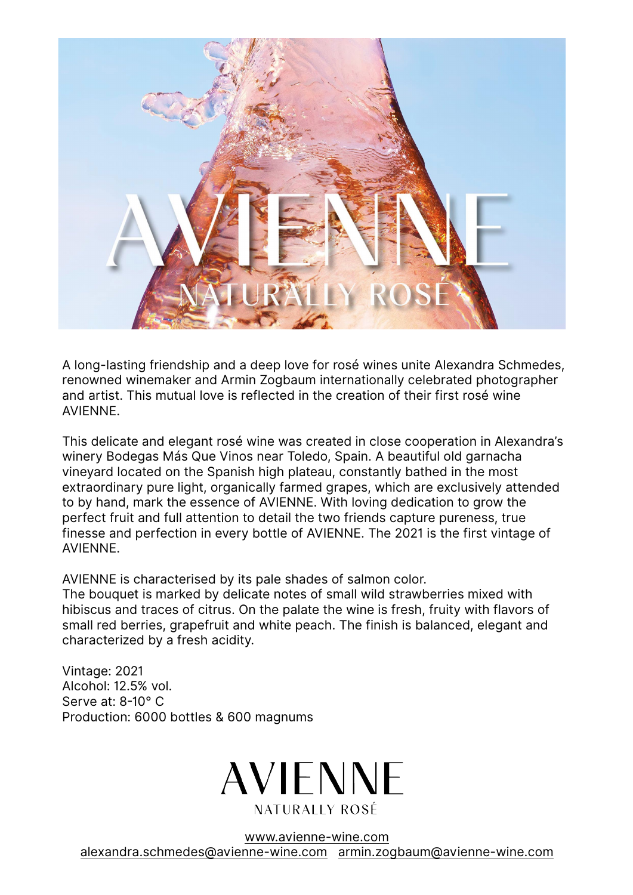

A long-lasting friendship and a deep love for rosé wines unite Alexandra Schmedes, renowned winemaker and Armin Zogbaum internationally celebrated photographer and artist. This mutual love is reflected in the creation of their first rosé wine AVIENNE.

This delicate and elegant rosé wine was created in close cooperation in Alexandra's winery Bodegas Más Que Vinos near Toledo, Spain. A beautiful old garnacha vineyard located on the Spanish high plateau, constantly bathed in the most extraordinary pure light, organically farmed grapes, which are exclusively attended to by hand, mark the essence of AVIENNE. With loving dedication to grow the perfect fruit and full attention to detail the two friends capture pureness, true finesse and perfection in every bottle of AVIENNE. The 2021 is the first vintage of AVIENNE.

AVIENNE is characterised by its pale shades of salmon color.

The bouquet is marked by delicate notes of small wild strawberries mixed with hibiscus and traces of citrus. On the palate the wine is fresh, fruity with flavors of small red berries, grapefruit and white peach. The finish is balanced, elegant and characterized by a fresh acidity.

Vintage: 2021 Alcohol: 12.5% vol. Serve at: 8-10° C Production: 6000 bottles & 600 magnums



www.avienne-wine.com alexandra.schmedes@avienne-wine.com armin.zogbaum@avienne-wine.com